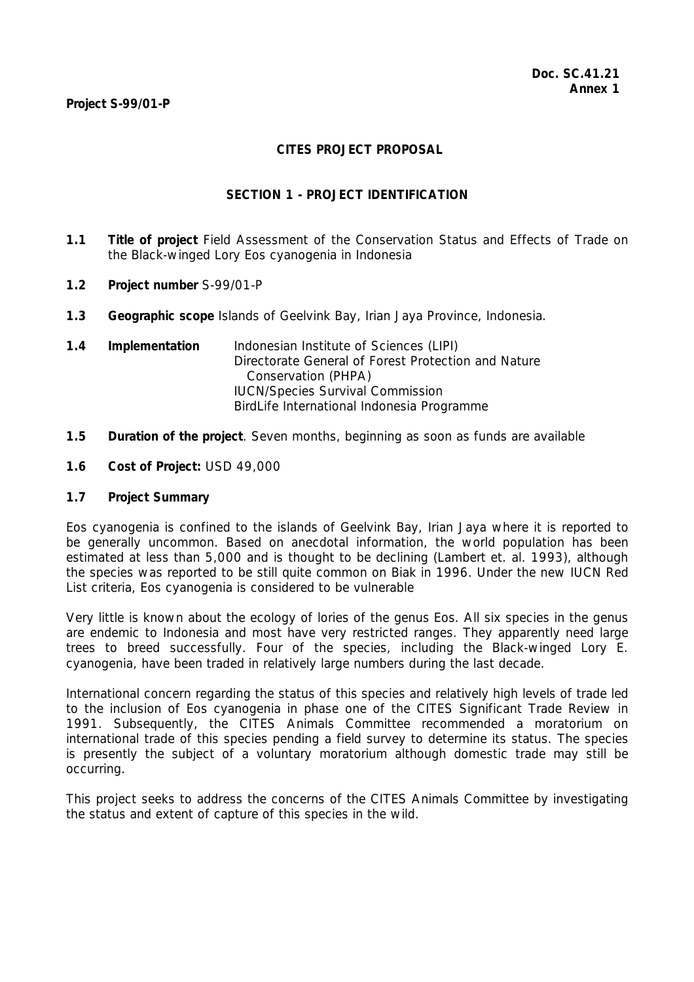#### **Project S-99/01-P**

## **CITES PROJECT PROPOSAL**

## **SECTION 1 - PROJECT IDENTIFICATION**

- **1.1 Title of project** Field Assessment of the Conservation Status and Effects of Trade on the Black-winged Lory *Eos cyanogenia* in Indonesia
- **1.2 Project number** S-99/01-P
- **1.3 Geographic scope** Islands of Geelvink Bay, Irian Jaya Province, Indonesia.
- **1.4 Implementation** Indonesian Institute of Sciences (LIPI) Directorate General of Forest Protection and Nature Conservation (PHPA) IUCN/Species Survival Commission BirdLife International Indonesia Programme
- **1.5 Duration of the project**. Seven months, beginning as soon as funds are available
- **1.6 Cost of Project:** USD 49,000

## **1.7 Project Summary**

*Eos cyanogenia* is confined to the islands of Geelvink Bay, Irian Jaya where it is reported to be generally uncommon. Based on anecdotal information, the world population has been estimated at less than 5,000 and is thought to be declining (Lambert *et. al.* 1993), although the species was reported to be still quite common on Biak in 1996. Under the new IUCN Red List criteria, *Eos cyanogenia* is considered to be vulnerable

Very little is known about the ecology of lories of the genus *Eos*. All six species in the genus are endemic to Indonesia and most have very restricted ranges. They apparently need large trees to breed successfully. Four of the species, including the Black-winged Lory *E. cyanogenia*, have been traded in relatively large numbers during the last decade.

International concern regarding the status of this species and relatively high levels of trade led to the inclusion of *Eos cyanogenia* in phase one of the CITES Significant Trade Review in 1991. Subsequently, the CITES Animals Committee recommended a moratorium on international trade of this species pending a field survey to determine its status. The species is presently the subject of a voluntary moratorium although domestic trade may still be occurring.

This project seeks to address the concerns of the CITES Animals Committee by investigating the status and extent of capture of this species in the wild.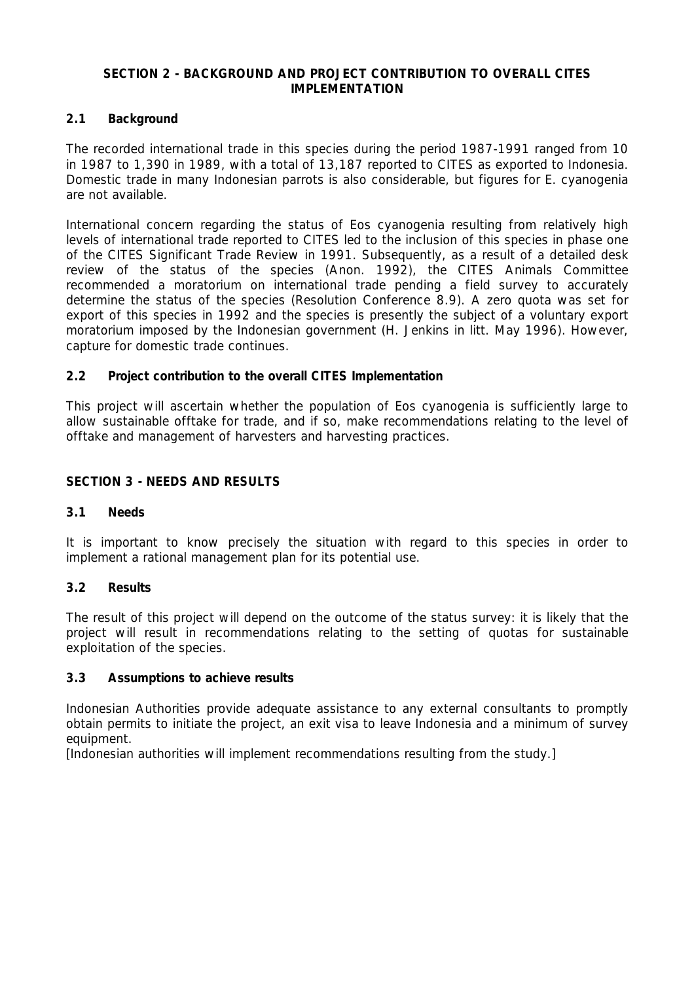## **SECTION 2 - BACKGROUND AND PROJECT CONTRIBUTION TO OVERALL CITES IMPLEMENTATION**

# **2.1 Background**

The recorded international trade in this species during the period 1987-1991 ranged from 10 in 1987 to 1,390 in 1989, with a total of 13,187 reported to CITES as exported to Indonesia. Domestic trade in many Indonesian parrots is also considerable, but figures for *E. cyanogenia* are not available.

International concern regarding the status of *Eos cyanogenia* resulting from relatively high levels of international trade reported to CITES led to the inclusion of this species in phase one of the CITES Significant Trade Review in 1991. Subsequently, as a result of a detailed desk review of the status of the species (Anon. 1992), the CITES Animals Committee recommended a moratorium on international trade pending a field survey to accurately determine the status of the species (Resolution Conference 8.9). A zero quota was set for export of this species in 1992 and the species is presently the subject of a voluntary export moratorium imposed by the Indonesian government (H. Jenkins *in litt*. May 1996). However, capture for domestic trade continues.

## **2.2 Project contribution to the overall CITES Implementation**

This project will ascertain whether the population of *Eos cyanogenia* is sufficiently large to allow sustainable offtake for trade, and if so, make recommendations relating to the level of offtake and management of harvesters and harvesting practices.

#### **SECTION 3 - NEEDS AND RESULTS**

#### **3.1 Needs**

It is important to know precisely the situation with regard to this species in order to implement a rational management plan for its potential use.

#### **3.2 Results**

The result of this project will depend on the outcome of the status survey: it is likely that the project will result in recommendations relating to the setting of quotas for sustainable exploitation of the species.

#### **3.3 Assumptions to achieve results**

Indonesian Authorities provide adequate assistance to any external consultants to promptly obtain permits to initiate the project, an exit visa to leave Indonesia and a minimum of survey equipment.

[Indonesian authorities will implement recommendations resulting from the study.]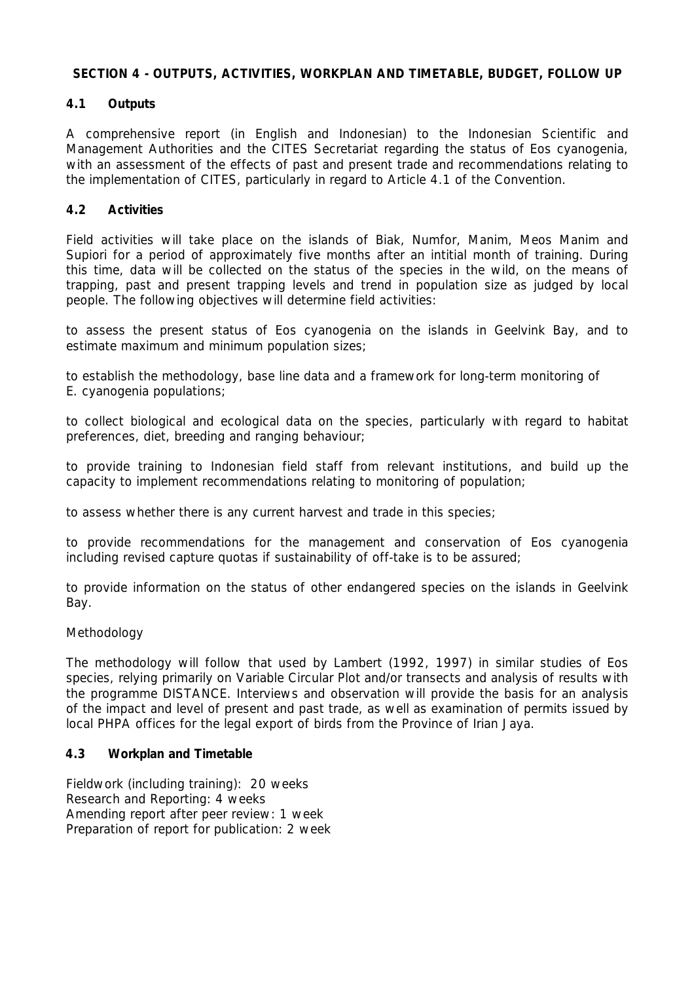## **SECTION 4 - OUTPUTS, ACTIVITIES, WORKPLAN AND TIMETABLE, BUDGET, FOLLOW UP**

# **4.1 Outputs**

A comprehensive report (in English and Indonesian) to the Indonesian Scientific and Management Authorities and the CITES Secretariat regarding the status of *Eos cyanogenia*, with an assessment of the effects of past and present trade and recommendations relating to the implementation of CITES, particularly in regard to Article 4.1 of the Convention.

## **4.2 Activities**

Field activities will take place on the islands of Biak, Numfor, Manim, Meos Manim and Supiori for a period of approximately five months after an intitial month of training. During this time, data will be collected on the status of the species in the wild, on the means of trapping, past and present trapping levels and trend in population size as judged by local people. The following objectives will determine field activities:

to assess the present status of *Eos cyanogenia* on the islands in Geelvink Bay, and to estimate maximum and minimum population sizes;

to establish the methodology, base line data and a framework for long-term monitoring of *E. cyanogenia* populations;

to collect biological and ecological data on the species, particularly with regard to habitat preferences, diet, breeding and ranging behaviour;

to provide training to Indonesian field staff from relevant institutions, and build up the capacity to implement recommendations relating to monitoring of population;

to assess whether there is any current harvest and trade in this species;

to provide recommendations for the management and conservation of *Eos cyanogenia* including revised capture quotas if sustainability of off-take is to be assured;

to provide information on the status of other endangered species on the islands in Geelvink Bay.

## *Methodology*

 The methodology will follow that used by Lambert (1992, 1997) in similar studies of *Eos* species, relying primarily on Variable Circular Plot and/or transects and analysis of results with the programme DISTANCE. Interviews and observation will provide the basis for an analysis of the impact and level of present and past trade, as well as examination of permits issued by local PHPA offices for the legal export of birds from the Province of Irian Jaya.

## **4.3 Workplan and Timetable**

 Fieldwork (including training): 20 weeks Research and Reporting: 4 weeks Amending report after peer review: 1 week Preparation of report for publication: 2 week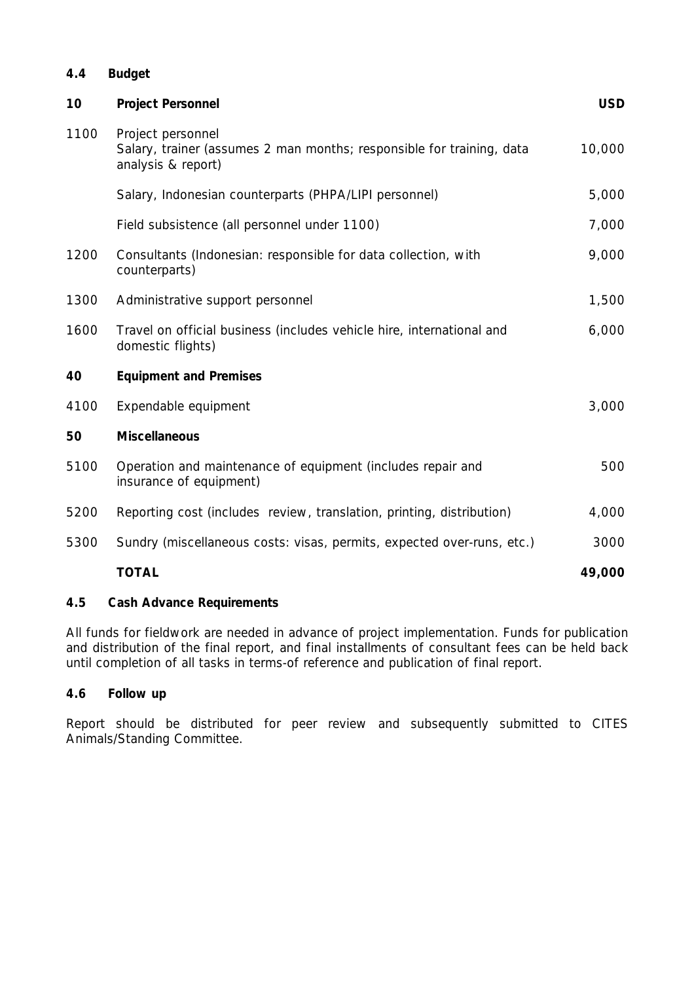## **4.4 Budget**

| 10   | <b>Project Personnel</b>                                                                                         | <b>USD</b> |
|------|------------------------------------------------------------------------------------------------------------------|------------|
| 1100 | Project personnel<br>Salary, trainer (assumes 2 man months; responsible for training, data<br>analysis & report) | 10,000     |
|      | Salary, Indonesian counterparts (PHPA/LIPI personnel)                                                            | 5,000      |
|      | Field subsistence (all personnel under 1100)                                                                     | 7,000      |
| 1200 | Consultants (Indonesian: responsible for data collection, with<br>counterparts)                                  | 9,000      |
| 1300 | Administrative support personnel                                                                                 | 1,500      |
| 1600 | Travel on official business (includes vehicle hire, international and<br>domestic flights)                       | 6,000      |
| 40   | <b>Equipment and Premises</b>                                                                                    |            |
| 4100 | Expendable equipment                                                                                             | 3,000      |
| 50   | <b>Miscellaneous</b>                                                                                             |            |
| 5100 | Operation and maintenance of equipment (includes repair and<br>insurance of equipment)                           | 500        |
| 5200 | Reporting cost (includes review, translation, printing, distribution)                                            | 4,000      |
| 5300 | Sundry (miscellaneous costs: visas, permits, expected over-runs, etc.)                                           | 3000       |
|      | <b>TOTAL</b>                                                                                                     | 49,000     |

# **4.5 Cash Advance Requirements**

All funds for fieldwork are needed in advance of project implementation. Funds for publication and distribution of the final report, and final installments of consultant fees can be held back until completion of all tasks in terms-of reference and publication of final report.

## **4.6 Follow up**

Report should be distributed for peer review and subsequently submitted to CITES Animals/Standing Committee.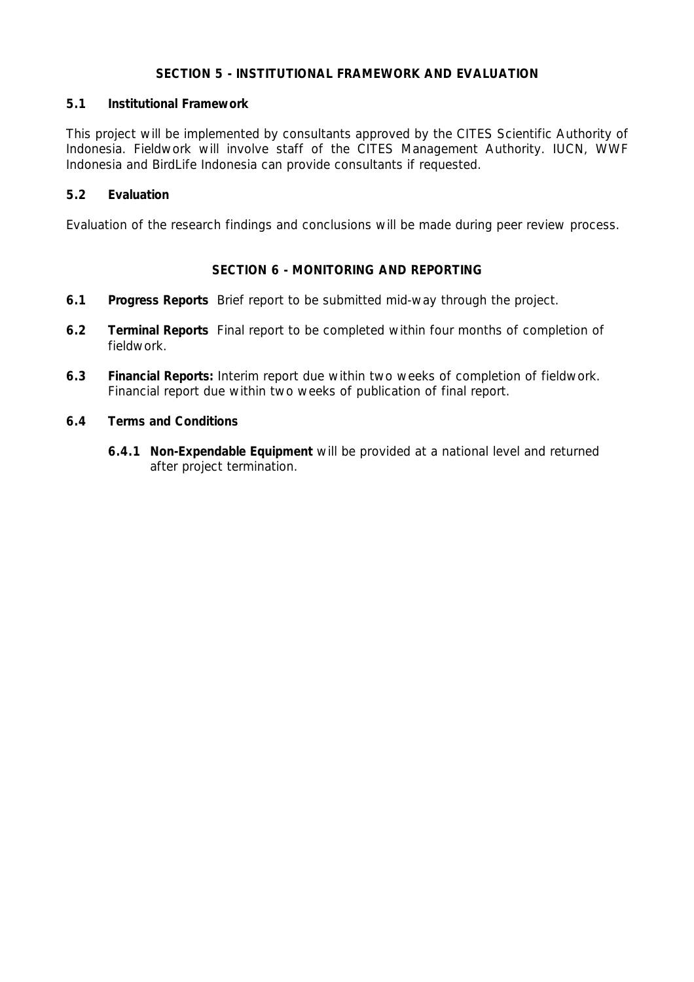# **SECTION 5 - INSTITUTIONAL FRAMEWORK AND EVALUATION**

## **5.1 Institutional Framework**

This project will be implemented by consultants approved by the CITES Scientific Authority of Indonesia. Fieldwork will involve staff of the CITES Management Authority. IUCN, WWF Indonesia and BirdLife Indonesia can provide consultants if requested.

# **5.2 Evaluation**

Evaluation of the research findings and conclusions will be made during peer review process.

# **SECTION 6 - MONITORING AND REPORTING**

- **6.1 Progress Reports** Brief report to be submitted mid-way through the project.
- **6.2 Terminal Reports** Final report to be completed within four months of completion of fieldwork.
- **6.3 Financial Reports:** Interim report due within two weeks of completion of fieldwork. Financial report due within two weeks of publication of final report.
- **6.4 Terms and Conditions**
	- **6.4.1 Non-Expendable Equipment** will be provided at a national level and returned after project termination.